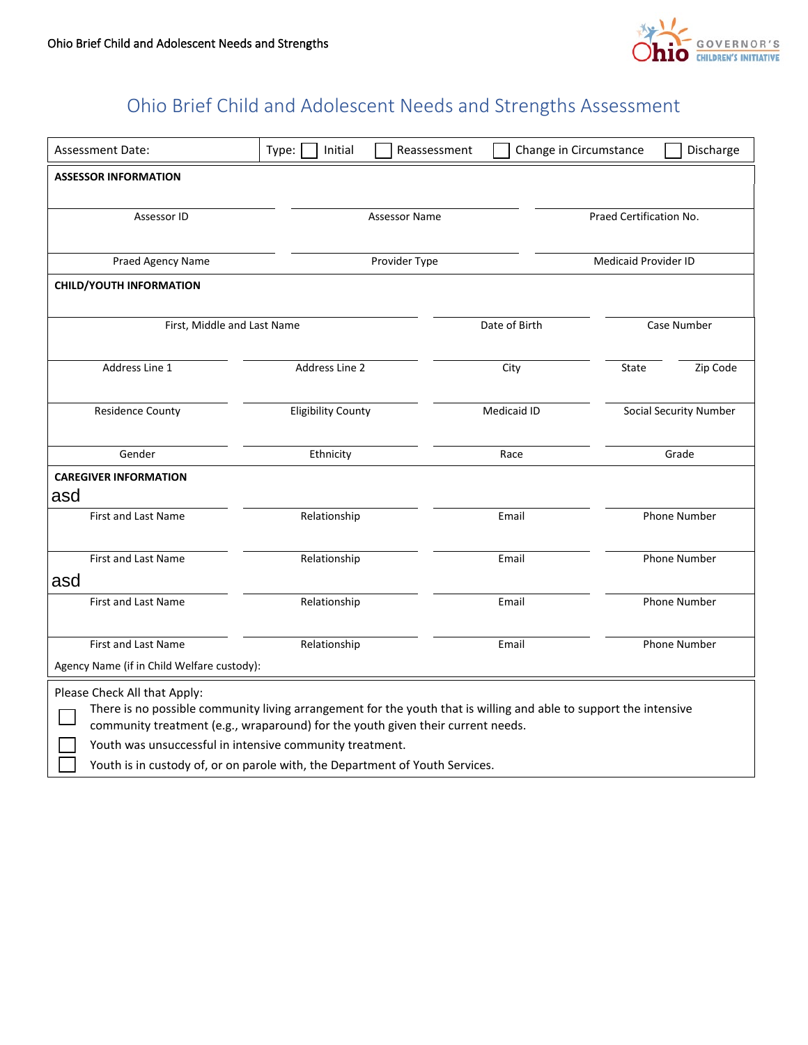

## Ohio Brief Child and Adolescent Needs and Strengths Assessment

| Assessment Date:                                                                                                                                                                                     | Type:<br>Initial                    | Reassessment  | Change in Circumstance<br>Discharge |                               |  |  |  |
|------------------------------------------------------------------------------------------------------------------------------------------------------------------------------------------------------|-------------------------------------|---------------|-------------------------------------|-------------------------------|--|--|--|
| <b>ASSESSOR INFORMATION</b>                                                                                                                                                                          |                                     |               |                                     |                               |  |  |  |
|                                                                                                                                                                                                      |                                     |               |                                     |                               |  |  |  |
|                                                                                                                                                                                                      | Assessor ID<br><b>Assessor Name</b> |               |                                     | Praed Certification No.       |  |  |  |
| Praed Agency Name                                                                                                                                                                                    |                                     | Provider Type |                                     | Medicaid Provider ID          |  |  |  |
| <b>CHILD/YOUTH INFORMATION</b>                                                                                                                                                                       |                                     |               |                                     |                               |  |  |  |
|                                                                                                                                                                                                      |                                     |               |                                     |                               |  |  |  |
| First, Middle and Last Name                                                                                                                                                                          | Date of Birth                       |               | Case Number                         |                               |  |  |  |
| Address Line 1                                                                                                                                                                                       | Address Line 2                      | City          | <b>State</b>                        | Zip Code                      |  |  |  |
|                                                                                                                                                                                                      |                                     |               |                                     |                               |  |  |  |
| <b>Residence County</b>                                                                                                                                                                              | <b>Eligibility County</b>           | Medicaid ID   |                                     | <b>Social Security Number</b> |  |  |  |
| Gender                                                                                                                                                                                               | Ethnicity                           | Race          |                                     | Grade                         |  |  |  |
| <b>CAREGIVER INFORMATION</b>                                                                                                                                                                         |                                     |               |                                     |                               |  |  |  |
| asd                                                                                                                                                                                                  |                                     |               |                                     |                               |  |  |  |
| <b>First and Last Name</b>                                                                                                                                                                           | Relationship                        | Email         |                                     | <b>Phone Number</b>           |  |  |  |
| First and Last Name                                                                                                                                                                                  | Relationship                        | Email         |                                     | Phone Number                  |  |  |  |
| asd                                                                                                                                                                                                  |                                     |               |                                     |                               |  |  |  |
| First and Last Name                                                                                                                                                                                  | Relationship                        | Email         |                                     | Phone Number                  |  |  |  |
|                                                                                                                                                                                                      |                                     |               |                                     |                               |  |  |  |
| <b>First and Last Name</b>                                                                                                                                                                           | Relationship                        | Email         |                                     | Phone Number                  |  |  |  |
| Agency Name (if in Child Welfare custody):                                                                                                                                                           |                                     |               |                                     |                               |  |  |  |
| Please Check All that Apply:                                                                                                                                                                         |                                     |               |                                     |                               |  |  |  |
| There is no possible community living arrangement for the youth that is willing and able to support the intensive<br>community treatment (e.g., wraparound) for the youth given their current needs. |                                     |               |                                     |                               |  |  |  |
| Youth was unsuccessful in intensive community treatment.                                                                                                                                             |                                     |               |                                     |                               |  |  |  |
| Youth is in custody of, or on parole with, the Department of Youth Services.                                                                                                                         |                                     |               |                                     |                               |  |  |  |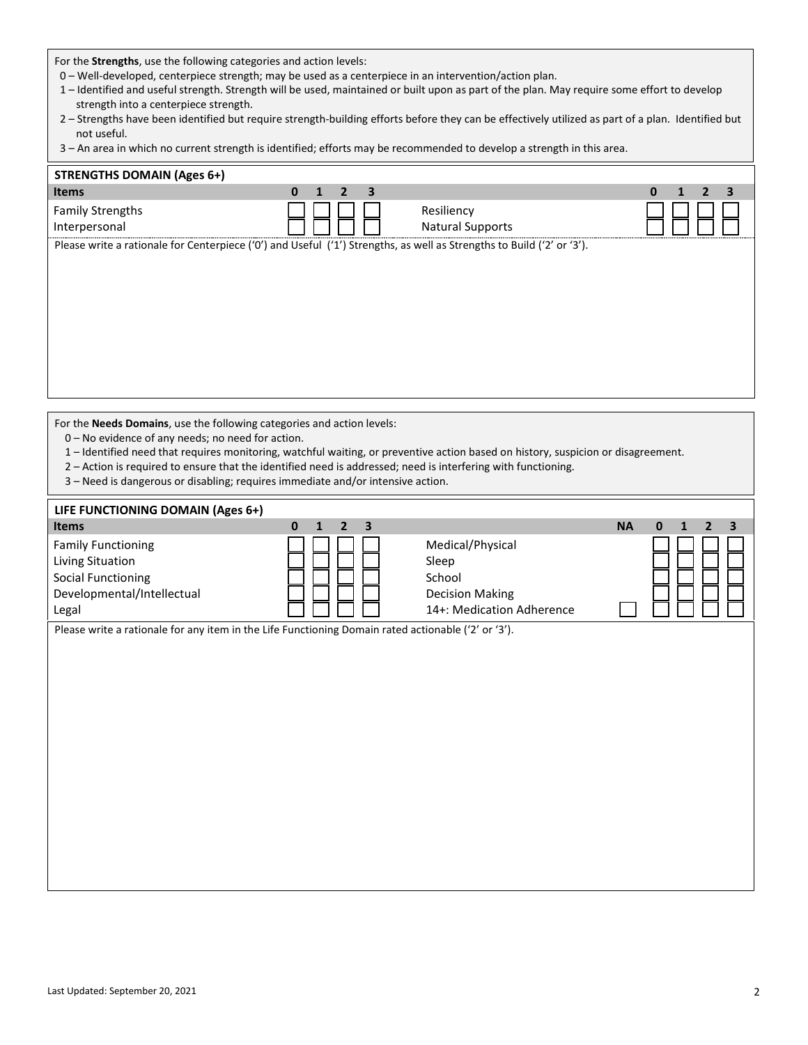For the **Strengths**, use the following categories and action levels:

- 0 Well-developed, centerpiece strength; may be used as a centerpiece in an intervention/action plan.
- 1 Identified and useful strength. Strength will be used, maintained or built upon as part of the plan. May require some effort to develop strength into a centerpiece strength.
- 2 Strengths have been identified but require strength-building efforts before they can be effectively utilized as part of a plan. Identified but not useful.
- 3 An area in which no current strength is identified; efforts may be recommended to develop a strength in this area.

| <b>STRENGTHS DOMAIN (Ages 6+)</b>                                                                                      |             |                         |   |
|------------------------------------------------------------------------------------------------------------------------|-------------|-------------------------|---|
| Items                                                                                                                  | 3<br>0<br>2 |                         | 0 |
| <b>Family Strengths</b>                                                                                                |             | Resiliency              |   |
| Interpersonal                                                                                                          |             | <b>Natural Supports</b> |   |
| Please write a rationale for Centerpiece ('0') and Useful ('1') Strengths, as well as Strengths to Build ('2' or '3'). |             |                         |   |

For the **Needs Domains**, use the following categories and action levels:

- 0 No evidence of any needs; no need for action.
- 1 Identified need that requires monitoring, watchful waiting, or preventive action based on history, suspicion or disagreement.
- 2 Action is required to ensure that the identified need is addressed; need is interfering with functioning.
- 3 Need is dangerous or disabling; requires immediate and/or intensive action.

| LIFE FUNCTIONING DOMAIN (Ages 6+)                                                                                 |                                                                           |                                                                                            |           |                                                     |
|-------------------------------------------------------------------------------------------------------------------|---------------------------------------------------------------------------|--------------------------------------------------------------------------------------------|-----------|-----------------------------------------------------|
| <b>Items</b>                                                                                                      | $\mathbf{0}$<br>$\overline{2}$<br>$\overline{\mathbf{3}}$<br>$\mathbf{1}$ |                                                                                            | <b>NA</b> | $\mathbf{0}$<br>$\mathbf{1}$<br>$\overline{2}$<br>3 |
| <b>Family Functioning</b><br>Living Situation<br><b>Social Functioning</b><br>Developmental/Intellectual<br>Legal |                                                                           | Medical/Physical<br>Sleep<br>School<br><b>Decision Making</b><br>14+: Medication Adherence |           |                                                     |
| Please write a rationale for any item in the Life Functioning Domain rated actionable ('2' or '3').               |                                                                           |                                                                                            |           |                                                     |
|                                                                                                                   |                                                                           |                                                                                            |           |                                                     |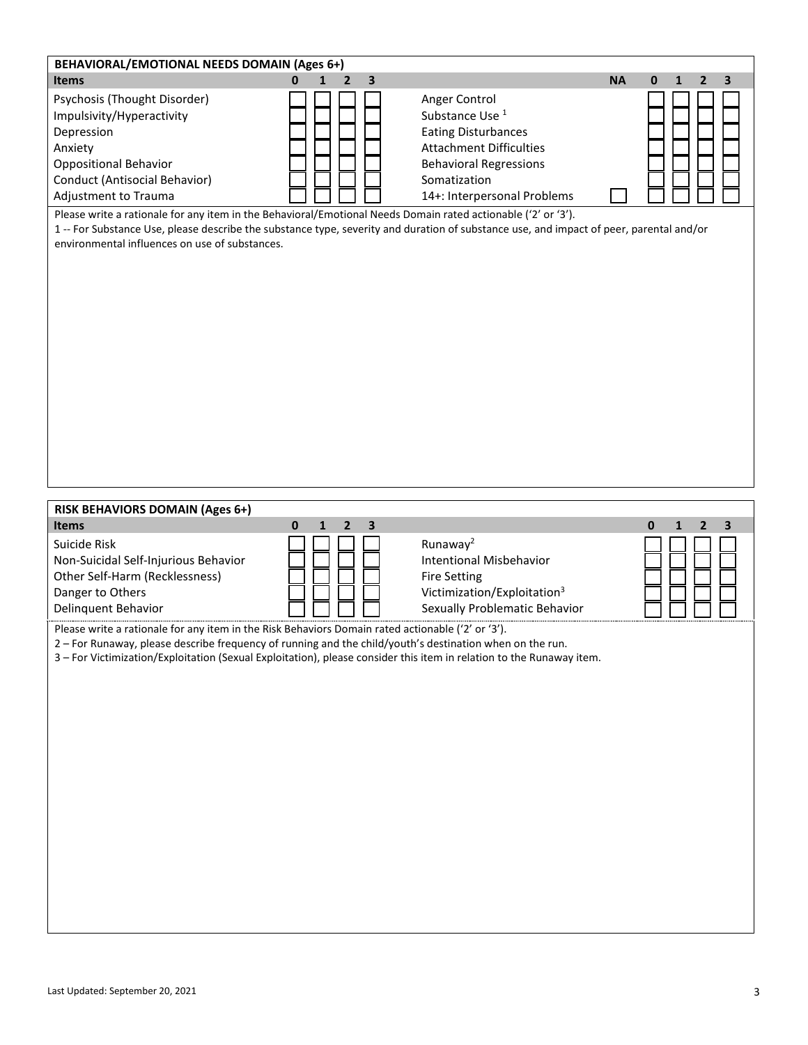| BEHAVIORAL/EMOTIONAL NEEDS DOMAIN (Ages 6+)                                                                                                                                                                                                                                                                                           |                                                                                                    |                                                                                                                                        |                     |  |  |  |  |
|---------------------------------------------------------------------------------------------------------------------------------------------------------------------------------------------------------------------------------------------------------------------------------------------------------------------------------------|----------------------------------------------------------------------------------------------------|----------------------------------------------------------------------------------------------------------------------------------------|---------------------|--|--|--|--|
| <b>Items</b>                                                                                                                                                                                                                                                                                                                          | $\mathbf{0}$<br>$\overline{2}$<br>3<br>$\mathbf{1}$                                                | <b>NA</b><br>$\mathbf{0}$<br>$\mathbf{1}$                                                                                              | $\overline{2}$<br>3 |  |  |  |  |
| Psychosis (Thought Disorder)<br>Impulsivity/Hyperactivity<br>Depression<br>Anxiety<br><b>Oppositional Behavior</b><br>Conduct (Antisocial Behavior)<br>Adjustment to Trauma                                                                                                                                                           | Anger Control<br>Substance Use <sup>1</sup><br>Somatization                                        | <b>Eating Disturbances</b><br><b>Attachment Difficulties</b><br><b>Behavioral Regressions</b><br>14+: Interpersonal Problems           |                     |  |  |  |  |
| Please write a rationale for any item in the Behavioral/Emotional Needs Domain rated actionable ('2' or '3').<br>environmental influences on use of substances.                                                                                                                                                                       |                                                                                                    | 1-- For Substance Use, please describe the substance type, severity and duration of substance use, and impact of peer, parental and/or |                     |  |  |  |  |
|                                                                                                                                                                                                                                                                                                                                       |                                                                                                    |                                                                                                                                        |                     |  |  |  |  |
| <b>RISK BEHAVIORS DOMAIN (Ages 6+)</b>                                                                                                                                                                                                                                                                                                |                                                                                                    |                                                                                                                                        |                     |  |  |  |  |
| <b>Items</b><br>Suicide Risk<br>Non-Suicidal Self-Injurious Behavior<br>Other Self-Harm (Recklessness)<br>Danger to Others<br>Delinquent Behavior                                                                                                                                                                                     | $\mathbf{0}$<br>$\mathbf{1}$<br>$\overline{2}$<br>3<br>Runaway <sup>2</sup><br><b>Fire Setting</b> | 0<br>1<br><b>Intentional Misbehavior</b><br>Victimization/Exploitation <sup>3</sup><br>Sexually Problematic Behavior                   | 2<br>3              |  |  |  |  |
| Please write a rationale for any item in the Risk Behaviors Domain rated actionable ('2' or '3').<br>2 - For Runaway, please describe frequency of running and the child/youth's destination when on the run.<br>3 - For Victimization/Exploitation (Sexual Exploitation), please consider this item in relation to the Runaway item. |                                                                                                    |                                                                                                                                        |                     |  |  |  |  |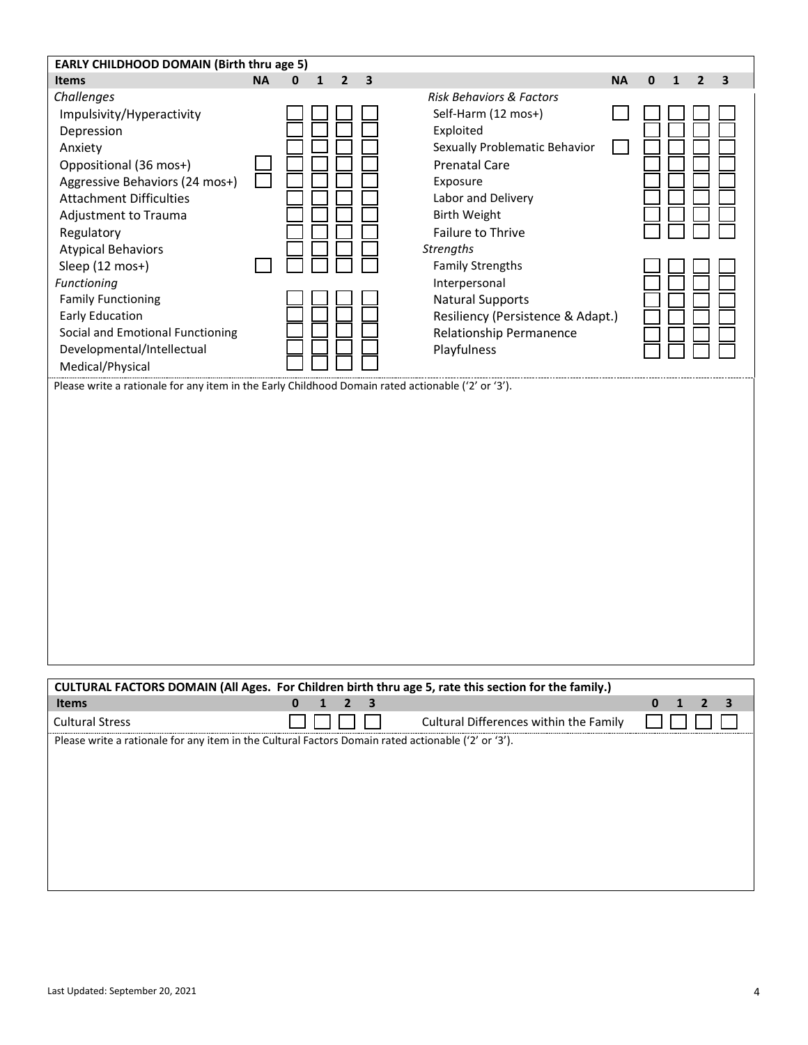| <b>EARLY CHILDHOOD DOMAIN (Birth thru age 5)</b>                                                                                                                                                                                                                                                                                                                                                                                                                                                                       |                                                                           |                                                                                                                                                                                                                                                                                                                                                                                          |                                                                 |
|------------------------------------------------------------------------------------------------------------------------------------------------------------------------------------------------------------------------------------------------------------------------------------------------------------------------------------------------------------------------------------------------------------------------------------------------------------------------------------------------------------------------|---------------------------------------------------------------------------|------------------------------------------------------------------------------------------------------------------------------------------------------------------------------------------------------------------------------------------------------------------------------------------------------------------------------------------------------------------------------------------|-----------------------------------------------------------------|
| <b>Items</b>                                                                                                                                                                                                                                                                                                                                                                                                                                                                                                           | <b>NA</b><br>$\overline{\mathbf{2}}$<br>$\mathbf{0}$<br>$\mathbf{1}$<br>3 |                                                                                                                                                                                                                                                                                                                                                                                          | <b>NA</b><br>$\mathbf 0$<br>$\overline{2}$<br>3<br>$\mathbf{1}$ |
| Challenges<br>Impulsivity/Hyperactivity<br>Depression<br>Anxiety<br>Oppositional (36 mos+)<br>Aggressive Behaviors (24 mos+)<br><b>Attachment Difficulties</b><br>Adjustment to Trauma<br>Regulatory<br><b>Atypical Behaviors</b><br>Sleep (12 mos+)<br>Functioning<br><b>Family Functioning</b><br><b>Early Education</b><br>Social and Emotional Functioning<br>Developmental/Intellectual<br>Medical/Physical<br>Please write a rationale for any item in the Early Childhood Domain rated actionable ('2' or '3'). |                                                                           | <b>Risk Behaviors &amp; Factors</b><br>Self-Harm (12 mos+)<br>Exploited<br>Sexually Problematic Behavior<br><b>Prenatal Care</b><br>Exposure<br>Labor and Delivery<br><b>Birth Weight</b><br>Failure to Thrive<br><b>Strengths</b><br><b>Family Strengths</b><br>Interpersonal<br><b>Natural Supports</b><br>Resiliency (Persistence & Adapt.)<br>Relationship Permanence<br>Playfulness |                                                                 |
|                                                                                                                                                                                                                                                                                                                                                                                                                                                                                                                        |                                                                           | CULTURAL FACTORS DOMAIN (All Ages. For Children birth thru age 5, rate this section for the family.)                                                                                                                                                                                                                                                                                     |                                                                 |
| <b>Items</b>                                                                                                                                                                                                                                                                                                                                                                                                                                                                                                           | $\mathbf{1}$<br>$\overline{2}$<br>3<br>$\mathbf{0}$                       |                                                                                                                                                                                                                                                                                                                                                                                          | $\mathbf{0}$<br>$\mathbf{1}$<br>2<br>з                          |
| <b>Cultural Stress</b>                                                                                                                                                                                                                                                                                                                                                                                                                                                                                                 |                                                                           | Cultural Differences within the Family                                                                                                                                                                                                                                                                                                                                                   |                                                                 |
| Please write a rationale for any item in the Cultural Factors Domain rated actionable ('2' or '3').                                                                                                                                                                                                                                                                                                                                                                                                                    |                                                                           |                                                                                                                                                                                                                                                                                                                                                                                          |                                                                 |
|                                                                                                                                                                                                                                                                                                                                                                                                                                                                                                                        |                                                                           |                                                                                                                                                                                                                                                                                                                                                                                          |                                                                 |
|                                                                                                                                                                                                                                                                                                                                                                                                                                                                                                                        |                                                                           |                                                                                                                                                                                                                                                                                                                                                                                          |                                                                 |
|                                                                                                                                                                                                                                                                                                                                                                                                                                                                                                                        |                                                                           |                                                                                                                                                                                                                                                                                                                                                                                          |                                                                 |
|                                                                                                                                                                                                                                                                                                                                                                                                                                                                                                                        |                                                                           |                                                                                                                                                                                                                                                                                                                                                                                          |                                                                 |
|                                                                                                                                                                                                                                                                                                                                                                                                                                                                                                                        |                                                                           |                                                                                                                                                                                                                                                                                                                                                                                          |                                                                 |
|                                                                                                                                                                                                                                                                                                                                                                                                                                                                                                                        |                                                                           |                                                                                                                                                                                                                                                                                                                                                                                          |                                                                 |
|                                                                                                                                                                                                                                                                                                                                                                                                                                                                                                                        |                                                                           |                                                                                                                                                                                                                                                                                                                                                                                          |                                                                 |